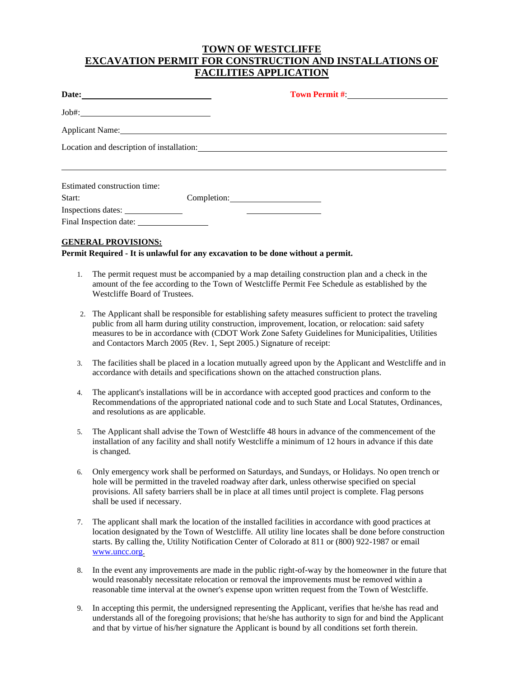### **TOWN OF WESTCLIFFE EXCAVATION PERMIT FOR CONSTRUCTION AND INSTALLATIONS OF FACILITIES APPLICATION**

### **GENERAL PROVISIONS:**

**Permit Required - It is unlawful for any excavation to be done without a permit.**

- 1. The permit request must be accompanied by a map detailing construction plan and a check in the amount of the fee according to the Town of Westcliffe Permit Fee Schedule as established by the Westcliffe Board of Trustees.
- 2. The Applicant shall be responsible for establishing safety measures sufficient to protect the traveling public from all harm during utility construction, improvement, location, or relocation: said safety measures to be in accordance with (CDOT Work Zone Safety Guidelines for Municipalities, Utilities and Contactors March 2005 (Rev. 1, Sept 2005.) Signature of receipt:
- 3. The facilities shall be placed in a location mutually agreed upon by the Applicant and Westcliffe and in accordance with details and specifications shown on the attached construction plans.
- 4. The applicant's installations will be in accordance with accepted good practices and conform to the Recommendations of the appropriated national code and to such State and Local Statutes, Ordinances, and resolutions as are applicable.
- 5. The Applicant shall advise the Town of Westcliffe 48 hours in advance of the commencement of the installation of any facility and shall notify Westcliffe a minimum of 12 hours in advance if this date is changed.
- 6. Only emergency work shall be performed on Saturdays, and Sundays, or Holidays. No open trench or hole will be permitted in the traveled roadway after dark, unless otherwise specified on special provisions. All safety barriers shall be in place at all times until project is complete. Flag persons shall be used if necessary.
- 7. The applicant shall mark the location of the installed facilities in accordance with good practices at location designated by the Town of Westcliffe. All utility line locates shall be done before construction starts. By calling the, Utility Notification Center of Colorado at 811 or (800) 922-1987 or email [www.uncc.org.](http://www.uncc.org/)
- 8. In the event any improvements are made in the public right-of-way by the homeowner in the future that would reasonably necessitate relocation or removal the improvements must be removed within a reasonable time interval at the owner's expense upon written request from the Town of Westcliffe.
- 9. In accepting this permit, the undersigned representing the Applicant, verifies that he/she has read and understands all of the foregoing provisions; that he/she has authority to sign for and bind the Applicant and that by virtue of his/her signature the Applicant is bound by all conditions set forth therein.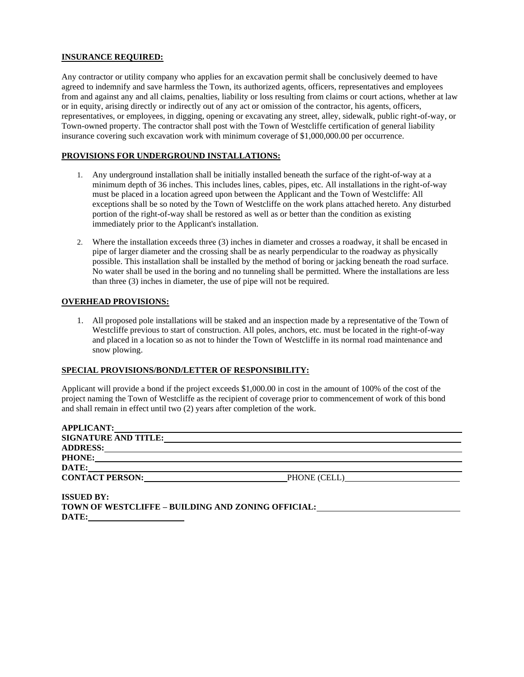### **INSURANCE REQUIRED:**

Any contractor or utility company who applies for an excavation permit shall be conclusively deemed to have agreed to indemnify and save harmless the Town, its authorized agents, officers, representatives and employees from and against any and all claims, penalties, liability or loss resulting from claims or court actions, whether at law or in equity, arising directly or indirectly out of any act or omission of the contractor, his agents, officers, representatives, or employees, in digging, opening or excavating any street, alley, sidewalk, public right-of-way, or Town-owned property. The contractor shall post with the Town of Westcliffe certification of general liability insurance covering such excavation work with minimum coverage of \$1,000,000.00 per occurrence.

### **PROVISIONS FOR UNDERGROUND INSTALLATIONS:**

- 1. Any underground installation shall be initially installed beneath the surface of the right-of-way at a minimum depth of 36 inches. This includes lines, cables, pipes, etc. All installations in the right-of-way must be placed in a location agreed upon between the Applicant and the Town of Westcliffe: All exceptions shall be so noted by the Town of Westcliffe on the work plans attached hereto. Any disturbed portion of the right-of-way shall be restored as well as or better than the condition as existing immediately prior to the Applicant's installation.
- 2. Where the installation exceeds three (3) inches in diameter and crosses a roadway, it shall be encased in pipe of larger diameter and the crossing shall be as nearly perpendicular to the roadway as physically possible. This installation shall be installed by the method of boring or jacking beneath the road surface. No water shall be used in the boring and no tunneling shall be permitted. Where the installations are less than three (3) inches in diameter, the use of pipe will not be required.

### **OVERHEAD PROVISIONS:**

1. All proposed pole installations will be staked and an inspection made by a representative of the Town of Westcliffe previous to start of construction. All poles, anchors, etc. must be located in the right-of-way and placed in a location so as not to hinder the Town of Westcliffe in its normal road maintenance and snow plowing.

#### **SPECIAL PROVISIONS/BOND/LETTER OF RESPONSIBILITY:**

Applicant will provide a bond if the project exceeds \$1,000.00 in cost in the amount of 100% of the cost of the project naming the Town of Westcliffe as the recipient of coverage prior to commencement of work of this bond and shall remain in effect until two (2) years after completion of the work.

| <b>APPLICANT:</b>           |              |  |
|-----------------------------|--------------|--|
| <b>SIGNATURE AND TITLE:</b> |              |  |
| <b>ADDRESS:</b>             |              |  |
| <b>PHONE:</b>               |              |  |
| DATE:                       |              |  |
| <b>CONTACT PERSON:</b>      | PHONE (CELL) |  |
|                             |              |  |
| <b>TOOTTED DAT</b>          |              |  |

| <b>ISSUED BY:</b> |                                                           |
|-------------------|-----------------------------------------------------------|
|                   | <b>TOWN OF WESTCLIFFE – BUILDING AND ZONING OFFICIAL:</b> |
| DATE:             |                                                           |